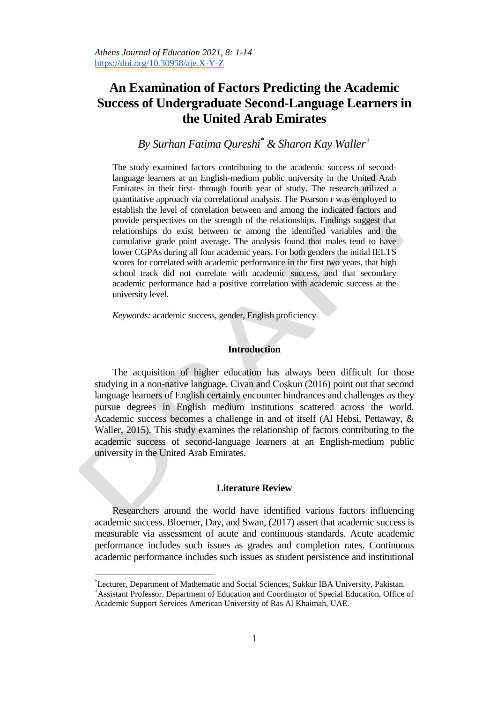# **An Examination of Factors Predicting the Academic Success of Undergraduate Second-Language Learners in the United Arab Emirates**

*By Surhan Fatima Qureshi\* & Sharon Kay Waller<sup>+</sup>*

The study examined factors contributing to the academic success of secondlanguage learners at an English-medium public university in the United Arab Emirates in their first- through fourth year of study. The research utilized a quantitative approach via correlational analysis. The Pearson r was employed to establish the level of correlation between and among the indicated factors and provide perspectives on the strength of the relationships. Findings suggest that relationships do exist between or among the identified variables and the cumulative grade point average. The analysis found that males tend to have lower CGPAs during all four academic years. For both genders the initial IELTS scores for correlated with academic performance in the first two years, that high school track did not correlate with academic success, and that secondary academic performance had a positive correlation with academic success at the university level.

*Keywords:* academic success, gender, English proficiency

## **Introduction**

The acquisition of higher education has always been difficult for those studying in a non-native language. Civan and Coşkun (2016) point out that second language learners of English certainly encounter hindrances and challenges as they pursue degrees in English medium institutions scattered across the world. Academic success becomes a challenge in and of itself (Al Hebsi, Pettaway, & Waller, 2015). This study examines the relationship of factors contributing to the academic success of second-language learners at an English-medium public university in the United Arab Emirates.

## **Literature Review**

Researchers around the world have identified various factors influencing academic success. Bloemer, Day, and Swan, (2017) assert that academic success is measurable via assessment of acute and continuous standards. Acute academic performance includes such issues as grades and completion rates. Continuous academic performance includes such issues as student persistence and institutional

 $\overline{a}$ 

<sup>\*</sup>Lecturer, Department of Mathematic and Social Sciences, Sukkur IBA University, Pakistan. <sup>+</sup>Assistant Professor, Department of Education and Coordinator of Special Education, Office of Academic Support Services American University of Ras Al Khaimah, UAE.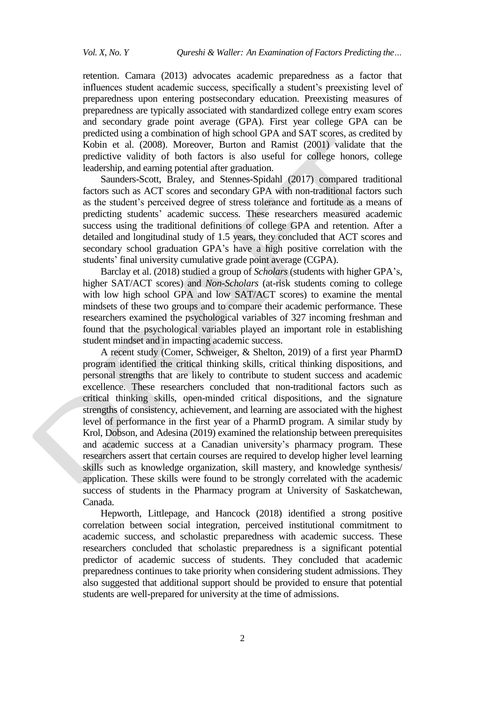retention. Camara (2013) advocates academic preparedness as a factor that influences student academic success, specifically a student's preexisting level of preparedness upon entering postsecondary education. Preexisting measures of preparedness are typically associated with standardized college entry exam scores and secondary grade point average (GPA). First year college GPA can be predicted using a combination of high school GPA and SAT scores, as credited by Kobin et al. (2008). Moreover, Burton and Ramist (2001) validate that the predictive validity of both factors is also useful for college honors, college leadership, and earning potential after graduation.

Saunders-Scott, Braley, and Stennes-Spidahl (2017) compared traditional factors such as ACT scores and secondary GPA with non-traditional factors such as the student's perceived degree of stress tolerance and fortitude as a means of predicting students' academic success. These researchers measured academic success using the traditional definitions of college GPA and retention. After a detailed and longitudinal study of 1.5 years, they concluded that ACT scores and secondary school graduation GPA's have a high positive correlation with the students' final university cumulative grade point average (CGPA).

Barclay et al. (2018) studied a group of *Scholars* (students with higher GPA's, higher SAT/ACT scores) and *Non-Scholars* (at-risk students coming to college with low high school GPA and low SAT/ACT scores) to examine the mental mindsets of these two groups and to compare their academic performance. These researchers examined the psychological variables of 327 incoming freshman and found that the psychological variables played an important role in establishing student mindset and in impacting academic success.

A recent study (Comer, Schweiger, & Shelton, 2019) of a first year PharmD program identified the critical thinking skills, critical thinking dispositions, and personal strengths that are likely to contribute to student success and academic excellence. These researchers concluded that non-traditional factors such as critical thinking skills, open-minded critical dispositions, and the signature strengths of consistency, achievement, and learning are associated with the highest level of performance in the first year of a PharmD program. A similar study by Krol, Dobson, and Adesina (2019) examined the relationship between prerequisites and academic success at a Canadian university's pharmacy program. These researchers assert that certain courses are required to develop higher level learning skills such as knowledge organization, skill mastery, and knowledge synthesis/ application. These skills were found to be strongly correlated with the academic success of students in the Pharmacy program at University of Saskatchewan, Canada.

Hepworth, Littlepage, and Hancock (2018) identified a strong positive correlation between social integration, perceived institutional commitment to academic success, and scholastic preparedness with academic success. These researchers concluded that scholastic preparedness is a significant potential predictor of academic success of students. They concluded that academic preparedness continues to take priority when considering student admissions. They also suggested that additional support should be provided to ensure that potential students are well-prepared for university at the time of admissions.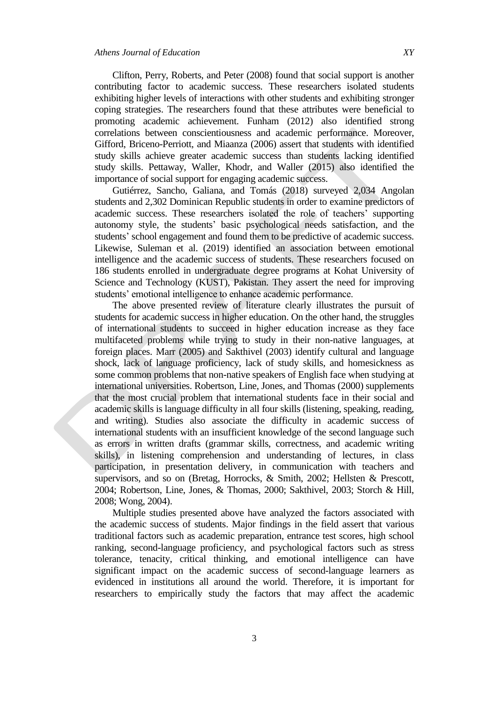Clifton, Perry, Roberts, and Peter (2008) found that social support is another contributing factor to academic success. These researchers isolated students exhibiting higher levels of interactions with other students and exhibiting stronger coping strategies. The researchers found that these attributes were beneficial to promoting academic achievement. Funham (2012) also identified strong correlations between conscientiousness and academic performance. Moreover, Gifford, Briceno-Perriott, and Miaanza (2006) assert that students with identified study skills achieve greater academic success than students lacking identified study skills. Pettaway, Waller, Khodr, and Waller (2015) also identified the importance of social support for engaging academic success.

Gutiérrez, Sancho, Galiana, and Tomás (2018) surveyed 2,034 Angolan students and 2,302 Dominican Republic students in order to examine predictors of academic success. These researchers isolated the role of teachers' supporting autonomy style, the students' basic psychological needs satisfaction, and the students' school engagement and found them to be predictive of academic success. Likewise, Suleman et al. (2019) identified an association between emotional intelligence and the academic success of students. These researchers focused on 186 students enrolled in undergraduate degree programs at Kohat University of Science and Technology (KUST), Pakistan. They assert the need for improving students' emotional intelligence to enhance academic performance.

The above presented review of literature clearly illustrates the pursuit of students for academic success in higher education. On the other hand, the struggles of international students to succeed in higher education increase as they face multifaceted problems while trying to study in their non-native languages, at foreign places. Marr (2005) and Sakthivel (2003) identify cultural and language shock, lack of language proficiency, lack of study skills, and homesickness as some common problems that non-native speakers of English face when studying at international universities. Robertson, Line, Jones, and Thomas (2000) supplements that the most crucial problem that international students face in their social and academic skills is language difficulty in all four skills (listening, speaking, reading, and writing). Studies also associate the difficulty in academic success of international students with an insufficient knowledge of the second language such as errors in written drafts (grammar skills, correctness, and academic writing skills), in listening comprehension and understanding of lectures, in class participation, in presentation delivery, in communication with teachers and supervisors, and so on (Bretag, Horrocks, & Smith, 2002; Hellsten & Prescott, 2004; Robertson, Line, Jones, & Thomas, 2000; Sakthivel, 2003; Storch & Hill, 2008; Wong, 2004).

Multiple studies presented above have analyzed the factors associated with the academic success of students. Major findings in the field assert that various traditional factors such as academic preparation, entrance test scores, high school ranking, second-language proficiency, and psychological factors such as stress tolerance, tenacity, critical thinking, and emotional intelligence can have significant impact on the academic success of second-language learners as evidenced in institutions all around the world. Therefore, it is important for researchers to empirically study the factors that may affect the academic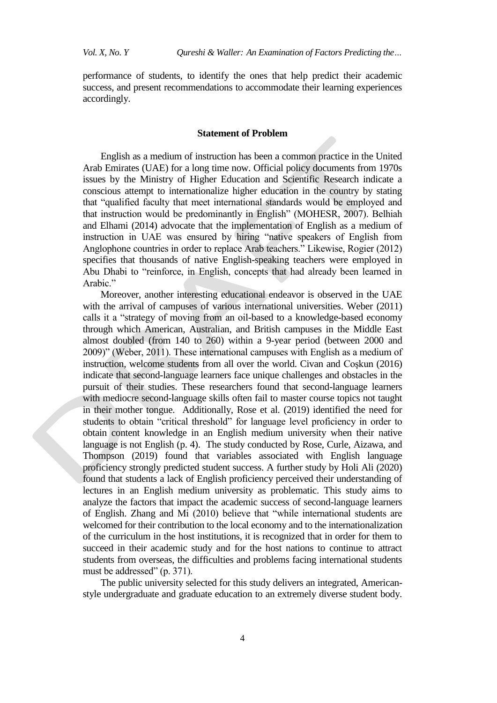performance of students, to identify the ones that help predict their academic success, and present recommendations to accommodate their learning experiences accordingly.

#### **Statement of Problem**

English as a medium of instruction has been a common practice in the United Arab Emirates (UAE) for a long time now. Official policy documents from 1970s issues by the Ministry of Higher Education and Scientific Research indicate a conscious attempt to internationalize higher education in the country by stating that "qualified faculty that meet international standards would be employed and that instruction would be predominantly in English" (MOHESR, 2007). Belhiah and Elhami (2014) advocate that the implementation of English as a medium of instruction in UAE was ensured by hiring "native speakers of English from Anglophone countries in order to replace Arab teachers." Likewise, Rogier (2012) specifies that thousands of native English-speaking teachers were employed in Abu Dhabi to "reinforce, in English, concepts that had already been learned in Arabic."

Moreover, another interesting educational endeavor is observed in the UAE with the arrival of campuses of various international universities. Weber (2011) calls it a "strategy of moving from an oil-based to a knowledge-based economy through which American, Australian, and British campuses in the Middle East almost doubled (from 140 to 260) within a 9-year period (between 2000 and 2009)" (Weber, 2011). These international campuses with English as a medium of instruction, welcome students from all over the world. Civan and Coşkun (2016) indicate that second-language learners face unique challenges and obstacles in the pursuit of their studies. These researchers found that second-language learners with mediocre second-language skills often fail to master course topics not taught in their mother tongue. Additionally, Rose et al. (2019) identified the need for students to obtain "critical threshold" for language level proficiency in order to obtain content knowledge in an English medium university when their native language is not English (p. 4). The study conducted by Rose, Curle, Aizawa, and Thompson (2019) found that variables associated with English language proficiency strongly predicted student success. A further study by Holi Ali (2020) found that students a lack of English proficiency perceived their understanding of lectures in an English medium university as problematic. This study aims to analyze the factors that impact the academic success of second-language learners of English. Zhang and Mi (2010) believe that "while international students are welcomed for their contribution to the local economy and to the internationalization of the curriculum in the host institutions, it is recognized that in order for them to succeed in their academic study and for the host nations to continue to attract students from overseas, the difficulties and problems facing international students must be addressed" (p. 371).

The public university selected for this study delivers an integrated, Americanstyle undergraduate and graduate education to an extremely diverse student body.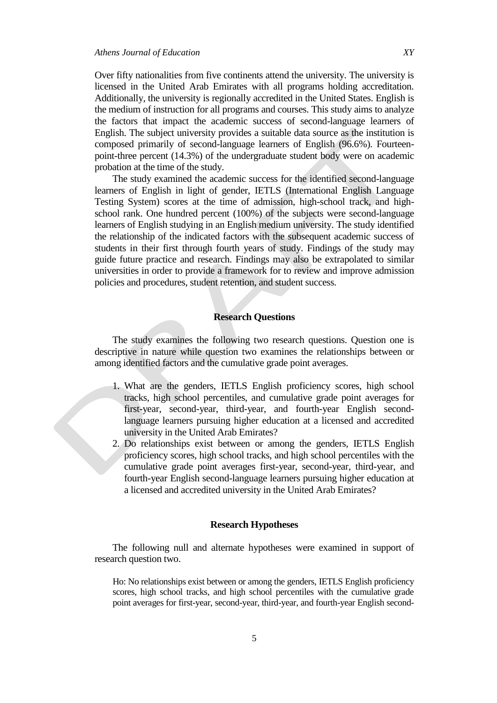Over fifty nationalities from five continents attend the university. The university is licensed in the United Arab Emirates with all programs holding accreditation. Additionally, the university is regionally accredited in the United States. English is the medium of instruction for all programs and courses. This study aims to analyze

the factors that impact the academic success of second-language learners of English. The subject university provides a suitable data source as the institution is composed primarily of second-language learners of English (96.6%). Fourteenpoint-three percent (14.3%) of the undergraduate student body were on academic probation at the time of the study.

The study examined the academic success for the identified second-language learners of English in light of gender, IETLS (International English Language Testing System) scores at the time of admission, high-school track, and highschool rank. One hundred percent (100%) of the subjects were second-language learners of English studying in an English medium university. The study identified the relationship of the indicated factors with the subsequent academic success of students in their first through fourth years of study. Findings of the study may guide future practice and research. Findings may also be extrapolated to similar universities in order to provide a framework for to review and improve admission policies and procedures, student retention, and student success.

# **Research Questions**

The study examines the following two research questions. Question one is descriptive in nature while question two examines the relationships between or among identified factors and the cumulative grade point averages.

- 1. What are the genders, IETLS English proficiency scores, high school tracks, high school percentiles, and cumulative grade point averages for first-year, second-year, third-year, and fourth-year English secondlanguage learners pursuing higher education at a licensed and accredited university in the United Arab Emirates?
- 2. Do relationships exist between or among the genders, IETLS English proficiency scores, high school tracks, and high school percentiles with the cumulative grade point averages first-year, second-year, third-year, and fourth-year English second-language learners pursuing higher education at a licensed and accredited university in the United Arab Emirates?

## **Research Hypotheses**

The following null and alternate hypotheses were examined in support of research question two.

Ho: No relationships exist between or among the genders, IETLS English proficiency scores, high school tracks, and high school percentiles with the cumulative grade point averages for first-year, second-year, third-year, and fourth-year English second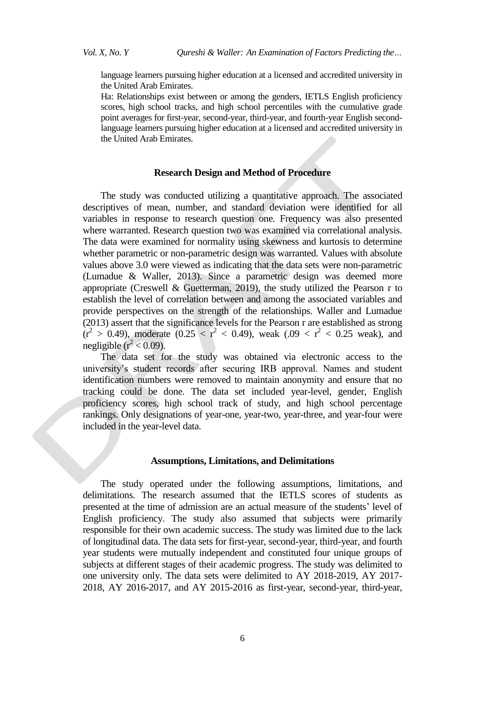language learners pursuing higher education at a licensed and accredited university in the United Arab Emirates.

Ha: Relationships exist between or among the genders, IETLS English proficiency scores, high school tracks, and high school percentiles with the cumulative grade point averages for first-year, second-year, third-year, and fourth-year English secondlanguage learners pursuing higher education at a licensed and accredited university in the United Arab Emirates.

### **Research Design and Method of Procedure**

The study was conducted utilizing a quantitative approach. The associated descriptives of mean, number, and standard deviation were identified for all variables in response to research question one. Frequency was also presented where warranted. Research question two was examined via correlational analysis. The data were examined for normality using skewness and kurtosis to determine whether parametric or non-parametric design was warranted. Values with absolute values above 3.0 were viewed as indicating that the data sets were non-parametric (Lumadue & Waller, 2013). Since a parametric design was deemed more appropriate (Creswell  $\&$  Guetterman, 2019), the study utilized the Pearson r to establish the level of correlation between and among the associated variables and provide perspectives on the strength of the relationships. Waller and Lumadue (2013) assert that the significance levels for the Pearson r are established as strong  $(r^2 > 0.49)$ , moderate  $(0.25 < r^2 < 0.49)$ , weak  $(.09 < r^2 < 0.25$  weak), and negligible ( $r^2$  < 0.09).

The data set for the study was obtained via electronic access to the university's student records after securing IRB approval. Names and student identification numbers were removed to maintain anonymity and ensure that no tracking could be done. The data set included year-level, gender, English proficiency scores, high school track of study, and high school percentage rankings. Only designations of year-one, year-two, year-three, and year-four were included in the year-level data.

#### **Assumptions, Limitations, and Delimitations**

The study operated under the following assumptions, limitations, and delimitations. The research assumed that the IETLS scores of students as presented at the time of admission are an actual measure of the students' level of English proficiency. The study also assumed that subjects were primarily responsible for their own academic success. The study was limited due to the lack of longitudinal data. The data sets for first-year, second-year, third-year, and fourth year students were mutually independent and constituted four unique groups of subjects at different stages of their academic progress. The study was delimited to one university only. The data sets were delimited to AY 2018-2019, AY 2017- 2018, AY 2016-2017, and AY 2015-2016 as first-year, second-year, third-year,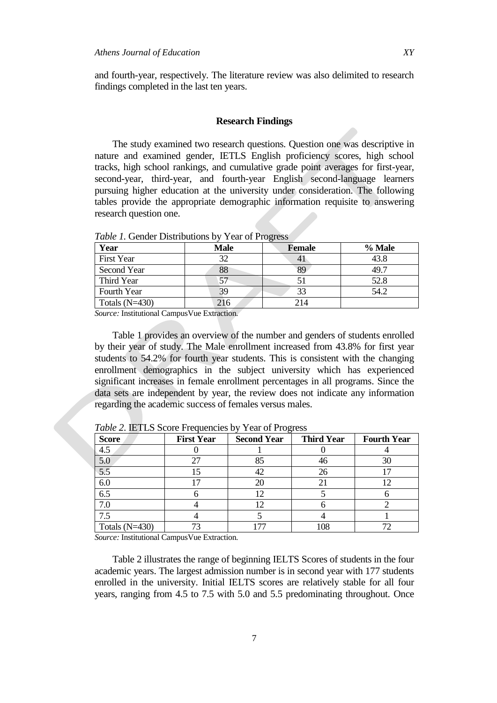and fourth-year, respectively. The literature review was also delimited to research findings completed in the last ten years.

#### **Research Findings**

The study examined two research questions. Question one was descriptive in nature and examined gender, IETLS English proficiency scores, high school tracks, high school rankings, and cumulative grade point averages for first-year, second-year, third-year, and fourth-year English second-language learners pursuing higher education at the university under consideration. The following tables provide the appropriate demographic information requisite to answering research question one.

| Year              | <b>Male</b> | <b>Female</b> | % Male |
|-------------------|-------------|---------------|--------|
| <b>First Year</b> | 32          | 41            | 43.8   |
| Second Year       | 88          | 89            | 49.7   |
| Third Year        | 57          |               | 52.8   |
| Fourth Year       | 39          | 33            | 54.2   |
| Totals $(N=430)$  | 216         | 214           |        |

*Table 1.* Gender Distributions by Year of Progress

*Source:* Institutional CampusVue Extraction.

Table 1 provides an overview of the number and genders of students enrolled by their year of study. The Male enrollment increased from 43.8% for first year students to 54.2% for fourth year students. This is consistent with the changing enrollment demographics in the subject university which has experienced significant increases in female enrollment percentages in all programs. Since the data sets are independent by year, the review does not indicate any information regarding the academic success of females versus males.

| <b>Score</b>     | <b>First Year</b> | <b>Second Year</b> | <b>Third Year</b> | <b>Fourth Year</b> |
|------------------|-------------------|--------------------|-------------------|--------------------|
| 4.5              |                   |                    |                   |                    |
| 5.0              |                   |                    |                   | 30                 |
| 5.5              |                   | 42                 |                   |                    |
| 6.0              |                   | 20                 |                   |                    |
| 6.5              |                   |                    |                   |                    |
| 7.0              |                   |                    |                   |                    |
|                  |                   |                    |                   |                    |
| Totals $(N=430)$ |                   |                    |                   |                    |

*Table 2*. IETLS Score Frequencies by Year of Progress

*Source:* Institutional CampusVue Extraction.

Table 2 illustrates the range of beginning IELTS Scores of students in the four academic years. The largest admission number is in second year with 177 students enrolled in the university. Initial IELTS scores are relatively stable for all four years, ranging from 4.5 to 7.5 with 5.0 and 5.5 predominating throughout. Once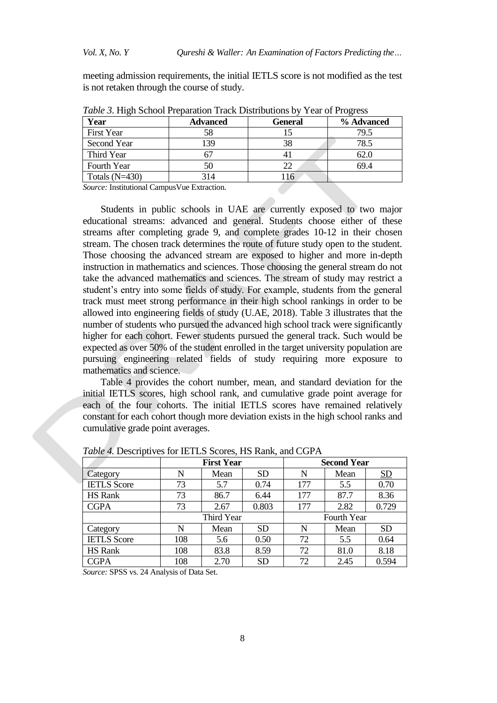meeting admission requirements, the initial IETLS score is not modified as the test is not retaken through the course of study.

| Year              | General<br><b>Advanced</b> |     | % Advanced |
|-------------------|----------------------------|-----|------------|
| <b>First Year</b> |                            |     | 79.5       |
| Second Year       | 39                         | 38  | 78.5       |
| Third Year        |                            | 4 I | 62.0       |
| Fourth Year       | 50                         | 22  | 69.4       |
| Totals $(N=430)$  | 314                        | 116 |            |

*Table 3*. High School Preparation Track Distributions by Year of Progress

*Source:* Institutional CampusVue Extraction.

Students in public schools in UAE are currently exposed to two major educational streams: advanced and general. Students choose either of these streams after completing grade 9, and complete grades 10-12 in their chosen stream. The chosen track determines the route of future study open to the student. Those choosing the advanced stream are exposed to higher and more in-depth instruction in mathematics and sciences. Those choosing the general stream do not take the advanced mathematics and sciences. The stream of study may restrict a student's entry into some fields of study. For example, students from the general track must meet strong performance in their high school rankings in order to be allowed into engineering fields of study (U.AE, 2018). Table 3 illustrates that the number of students who pursued the advanced high school track were significantly higher for each cohort. Fewer students pursued the general track. Such would be expected as over 50% of the student enrolled in the target university population are pursuing engineering related fields of study requiring more exposure to mathematics and science.

Table 4 provides the cohort number, mean, and standard deviation for the initial IETLS scores, high school rank, and cumulative grade point average for each of the four cohorts. The initial IETLS scores have remained relatively constant for each cohort though more deviation exists in the high school ranks and cumulative grade point averages.

|                    | First Year |      |           |     | <b>Second Year</b> |           |
|--------------------|------------|------|-----------|-----|--------------------|-----------|
| Category           | N          | Mean | <b>SD</b> | N   | Mean               | <u>SD</u> |
| <b>IETLS</b> Score | 73         | 5.7  | 0.74      | 177 | 5.5                | 0.70      |
| <b>HS</b> Rank     | 73         | 86.7 | 6.44      | 177 | 87.7               | 8.36      |
| <b>CGPA</b>        | 73         | 2.67 | 0.803     | 177 | 2.82               | 0.729     |
|                    | Third Year |      |           |     | Fourth Year        |           |
| Category           | N          | Mean | <b>SD</b> | N   | Mean               | <b>SD</b> |
| <b>IETLS</b> Score | 108        | 5.6  | 0.50      | 72  | 5.5                | 0.64      |
| <b>HS</b> Rank     | 108        | 83.8 | 8.59      | 72  | 81.0               | 8.18      |
| <b>CGPA</b>        | 108        | 2.70 | <b>SD</b> | 72  | 2.45               | 0.594     |

*Table 4.* Descriptives for IETLS Scores, HS Rank, and CGPA

*Source:* SPSS vs. 24 Analysis of Data Set.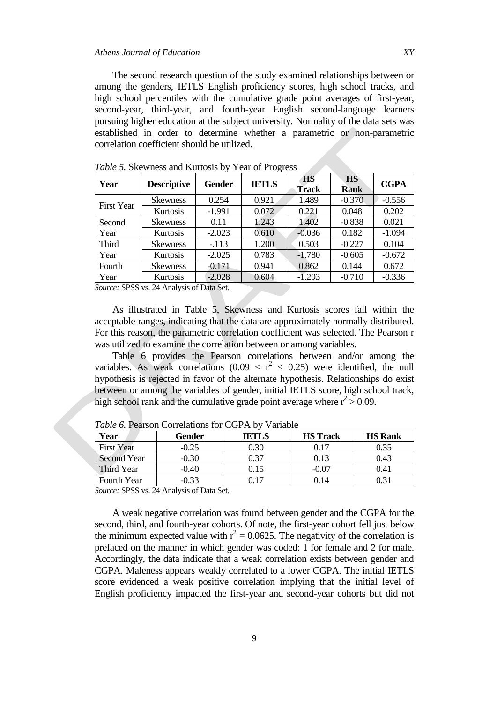The second research question of the study examined relationships between or among the genders, IETLS English proficiency scores, high school tracks, and high school percentiles with the cumulative grade point averages of first-year, second-year, third-year, and fourth-year English second-language learners pursuing higher education at the subject university. Normality of the data sets was established in order to determine whether a parametric or non-parametric correlation coefficient should be utilized.

| Year                                                          | <b>Descriptive</b> | <b>Gender</b> | <b>IETLS</b> | <b>HS</b><br>Track | <b>HS</b><br><b>Rank</b> | <b>CGPA</b> |
|---------------------------------------------------------------|--------------------|---------------|--------------|--------------------|--------------------------|-------------|
|                                                               | <b>Skewness</b>    | 0.254         | 0.921        | 1.489              | $-0.370$                 | $-0.556$    |
| <b>First Year</b>                                             | Kurtosis           | $-1.991$      | 0.072        | 0.221              | 0.048                    | 0.202       |
| Second                                                        | <b>Skewness</b>    | 0.11          | 1.243        | 1.402              | $-0.838$                 | 0.021       |
| Year                                                          | Kurtosis           | $-2.023$      | 0.610        | $-0.036$           | 0.182                    | $-1.094$    |
| <b>Third</b>                                                  | <b>Skewness</b>    | $-113$        | 1.200        | 0.503              | $-0.227$                 | 0.104       |
| Year                                                          | Kurtosis           | $-2.025$      | 0.783        | $-1.780$           | $-0.605$                 | $-0.672$    |
| Fourth                                                        | <b>Skewness</b>    | $-0.171$      | 0.941        | 0.862              | 0.144                    | 0.672       |
| Year                                                          | Kurtosis           | $-2.028$      | 0.604        | $-1.293$           | $-0.710$                 | $-0.336$    |
| $C_1, \ldots, C_{n}$ CDCC $\ldots, C_{n}$ And $\ldots, C_{n}$ |                    |               |              |                    |                          |             |

*Table 5.* Skewness and Kurtosis by Year of Progress

*Source:* SPSS vs. 24 Analysis of Data Set.

As illustrated in Table 5, Skewness and Kurtosis scores fall within the acceptable ranges, indicating that the data are approximately normally distributed. For this reason, the parametric correlation coefficient was selected. The Pearson r was utilized to examine the correlation between or among variables.

Table 6 provides the Pearson correlations between and/or among the variables. As weak correlations  $(0.09 < r^2 < 0.25)$  were identified, the null hypothesis is rejected in favor of the alternate hypothesis. Relationships do exist between or among the variables of gender, initial IETLS score, high school track, high school rank and the cumulative grade point average where  $r^2 > 0.09$ .

| Year               | Gender  | <b>IETLS</b> | <b>HS</b> Track | <b>HS Rank</b> |
|--------------------|---------|--------------|-----------------|----------------|
| <b>First Year</b>  | $-0.25$ | 0.30         | 0.17            | 0.35           |
| <b>Second Year</b> | $-0.30$ | 0.37         | 0.13            | 0.43           |
| Third Year         | -0.40   | 0.15         | -0.07           | 0.41           |
| Fourth Year        |         |              |                 |                |

*Table 6.* Pearson Correlations for CGPA by Variable

*Source:* SPSS vs. 24 Analysis of Data Set.

A weak negative correlation was found between gender and the CGPA for the second, third, and fourth-year cohorts. Of note, the first-year cohort fell just below the minimum expected value with  $r^2 = 0.0625$ . The negativity of the correlation is prefaced on the manner in which gender was coded: 1 for female and 2 for male. Accordingly, the data indicate that a weak correlation exists between gender and CGPA. Maleness appears weakly correlated to a lower CGPA. The initial IETLS score evidenced a weak positive correlation implying that the initial level of English proficiency impacted the first-year and second-year cohorts but did not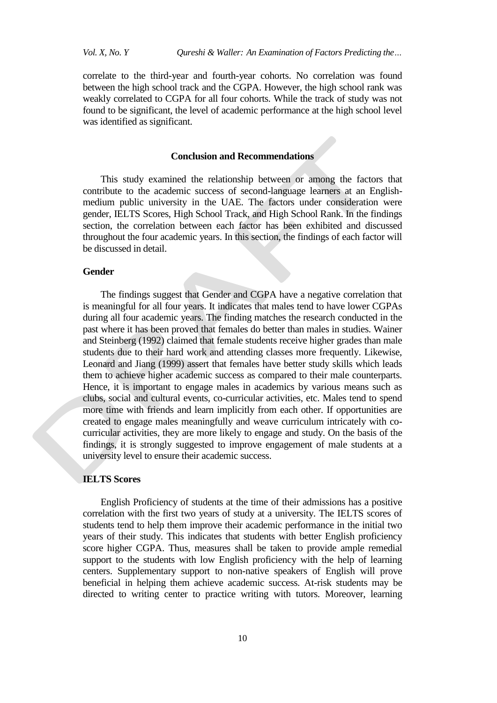correlate to the third-year and fourth-year cohorts. No correlation was found between the high school track and the CGPA. However, the high school rank was weakly correlated to CGPA for all four cohorts. While the track of study was not found to be significant, the level of academic performance at the high school level was identified as significant.

#### **Conclusion and Recommendations**

This study examined the relationship between or among the factors that contribute to the academic success of second-language learners at an Englishmedium public university in the UAE. The factors under consideration were gender, IELTS Scores, High School Track, and High School Rank. In the findings section, the correlation between each factor has been exhibited and discussed throughout the four academic years. In this section, the findings of each factor will be discussed in detail.

#### **Gender**

The findings suggest that Gender and CGPA have a negative correlation that is meaningful for all four years. It indicates that males tend to have lower CGPAs during all four academic years. The finding matches the research conducted in the past where it has been proved that females do better than males in studies. Wainer and Steinberg (1992) claimed that female students receive higher grades than male students due to their hard work and attending classes more frequently. Likewise, Leonard and Jiang (1999) assert that females have better study skills which leads them to achieve higher academic success as compared to their male counterparts. Hence, it is important to engage males in academics by various means such as clubs, social and cultural events, co-curricular activities, etc. Males tend to spend more time with friends and learn implicitly from each other. If opportunities are created to engage males meaningfully and weave curriculum intricately with cocurricular activities, they are more likely to engage and study. On the basis of the findings, it is strongly suggested to improve engagement of male students at a university level to ensure their academic success.

## **IELTS Scores**

English Proficiency of students at the time of their admissions has a positive correlation with the first two years of study at a university. The IELTS scores of students tend to help them improve their academic performance in the initial two years of their study. This indicates that students with better English proficiency score higher CGPA. Thus, measures shall be taken to provide ample remedial support to the students with low English proficiency with the help of learning centers. Supplementary support to non-native speakers of English will prove beneficial in helping them achieve academic success. At-risk students may be directed to writing center to practice writing with tutors. Moreover, learning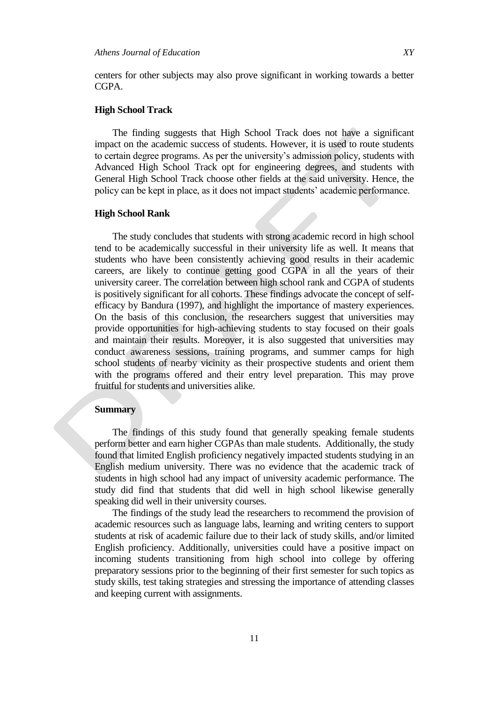centers for other subjects may also prove significant in working towards a better CGPA.

# **High School Track**

The finding suggests that High School Track does not have a significant impact on the academic success of students. However, it is used to route students to certain degree programs. As per the university's admission policy, students with Advanced High School Track opt for engineering degrees, and students with General High School Track choose other fields at the said university. Hence, the policy can be kept in place, as it does not impact students' academic performance.

#### **High School Rank**

The study concludes that students with strong academic record in high school tend to be academically successful in their university life as well. It means that students who have been consistently achieving good results in their academic careers, are likely to continue getting good CGPA in all the years of their university career. The correlation between high school rank and CGPA of students is positively significant for all cohorts. These findings advocate the concept of selfefficacy by Bandura (1997), and highlight the importance of mastery experiences. On the basis of this conclusion, the researchers suggest that universities may provide opportunities for high-achieving students to stay focused on their goals and maintain their results. Moreover, it is also suggested that universities may conduct awareness sessions, training programs, and summer camps for high school students of nearby vicinity as their prospective students and orient them with the programs offered and their entry level preparation. This may prove fruitful for students and universities alike.

# **Summary**

The findings of this study found that generally speaking female students perform better and earn higher CGPAs than male students. Additionally, the study found that limited English proficiency negatively impacted students studying in an English medium university. There was no evidence that the academic track of students in high school had any impact of university academic performance. The study did find that students that did well in high school likewise generally speaking did well in their university courses.

The findings of the study lead the researchers to recommend the provision of academic resources such as language labs, learning and writing centers to support students at risk of academic failure due to their lack of study skills, and/or limited English proficiency. Additionally, universities could have a positive impact on incoming students transitioning from high school into college by offering preparatory sessions prior to the beginning of their first semester for such topics as study skills, test taking strategies and stressing the importance of attending classes and keeping current with assignments.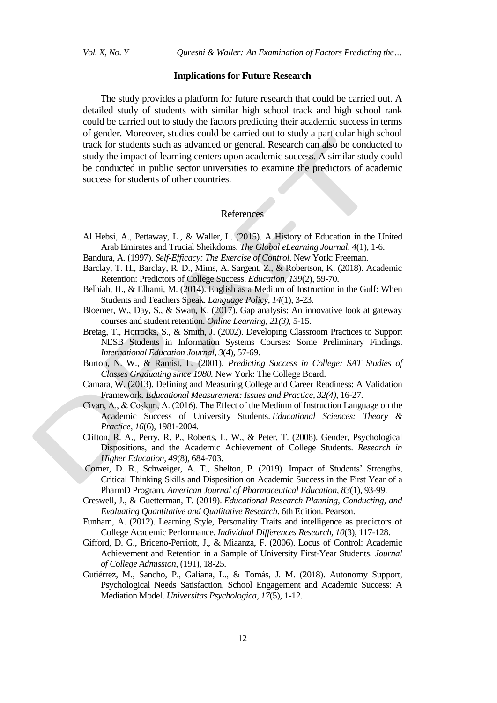*Vol. X, No. Y Qureshi & Waller: An Examination of Factors Predicting the…*

#### **Implications for Future Research**

The study provides a platform for future research that could be carried out. A detailed study of students with similar high school track and high school rank could be carried out to study the factors predicting their academic success in terms of gender. Moreover, studies could be carried out to study a particular high school track for students such as advanced or general. Research can also be conducted to study the impact of learning centers upon academic success. A similar study could be conducted in public sector universities to examine the predictors of academic success for students of other countries.

## References

- Al Hebsi, A., Pettaway, L., & Waller, L. (2015). A History of Education in the United Arab Emirates and Trucial Sheikdoms. *The Global eLearning Journal*, *4*(1), 1-6.
- Bandura, A. (1997). *Self-Efficacy: The Exercise of Control*. New York: Freeman.
- Barclay, T. H., Barclay, R. D., Mims, A. Sargent, Z., & Robertson, K. (2018). Academic Retention: Predictors of College Success. *Education*, *139*(2), 59-70.
- Belhiah, H., & Elhami, M. (2014). English as a Medium of Instruction in the Gulf: When Students and Teachers Speak. *Language Policy*, *14*(1), 3-23.
- Bloemer, W., Day, S., & Swan, K. (2017). Gap analysis: An innovative look at gateway courses and student retention. *Online Learning, 21(3)*, 5-15.
- Bretag, T., Horrocks, S., & Smith, J. (2002). Developing Classroom Practices to Support NESB Students in Information Systems Courses: Some Preliminary Findings. *International Education Journal*, *3*(4), 57-69.
- Burton, N. W., & Ramist, L. (2001). *Predicting Success in College: SAT Studies of Classes Graduating since 1980.* New York: The College Board.
- Camara, W. (2013). Defining and Measuring College and Career Readiness: A Validation Framework. *Educational Measurement: Issues and Practice, 32(4)*, 16-27.
- Civan, A., & Coşkun, A. (2016). The Effect of the Medium of Instruction Language on the Academic Success of University Students. *Educational Sciences: Theory & Practice*, *16*(6), 1981-2004.
- Clifton, R. A., Perry, R. P., Roberts, L. W., & Peter, T. (2008). Gender, Psychological Dispositions, and the Academic Achievement of College Students. *Research in Higher Education, 49*(8), 684-703.
- Comer, D. R., Schweiger, A. T., Shelton, P. (2019). Impact of Students' Strengths, Critical Thinking Skills and Disposition on Academic Success in the First Year of a PharmD Program. *American Journal of Pharmaceutical Education, 83*(1), 93-99.
- Creswell, J., & Guetterman, T. (2019). *Educational Research Planning, Conducting, and Evaluating Quantitative and Qualitative Research*. 6th Edition. Pearson.
- Funham, A. (2012). Learning Style, Personality Traits and intelligence as predictors of College Academic Performance. *Individual Differences Research, 10*(3), 117-128.
- Gifford, D. G., Briceno-Perriott, J., & Miaanza, F. (2006). Locus of Control: Academic Achievement and Retention in a Sample of University First-Year Students. *Journal of College Admission*, (191), 18-25.
- Gutiérrez, M., Sancho, P., Galiana, L., & Tomás, J. M. (2018). Autonomy Support, Psychological Needs Satisfaction, School Engagement and Academic Success: A Mediation Model. *Universitas Psychologica, 17*(5), 1-12.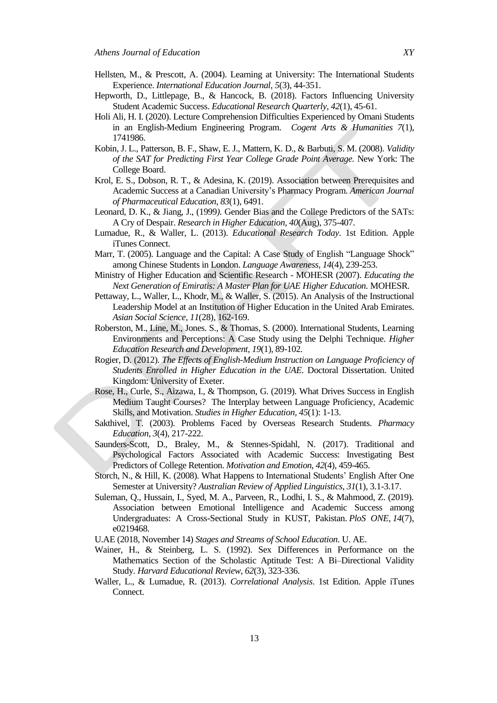- Hellsten, M., & Prescott, A. (2004). Learning at University: The International Students Experience. *International Education Journal, 5*(3), 44-351.
- Hepworth, D., Littlepage, B., & Hancock, B. (2018). Factors Influencing University Student Academic Success. *Educational Research Quarterly, 42*(1), 45-61.
- Holi Ali, H. I. (2020). Lecture Comprehension Difficulties Experienced by Omani Students in an English-Medium Engineering Program. *Cogent Arts & Humanities 7*(1), 1741986.
- Kobin, J. L., Patterson, B. F., Shaw, E. J., Mattern, K. D., & Barbuti, S. M. (2008). *Validity of the SAT for Predicting First Year College Grade Point Average.* New York: The College Board.
- Krol, E. S., Dobson, R. T., & Adesina, K. (2019). Association between Prerequisites and Academic Success at a Canadian University's Pharmacy Program. *American Journal of Pharmaceutical Education*, *83*(1), 6491.
- Leonard, D. K., & Jiang, J., (1999*).* Gender Bias and the College Predictors of the SATs: A Cry of Despair. *Research in Higher Education*, *40*(Aug), 375-407.
- Lumadue, R., & Waller, L. (2013). *Educational Research Today*. 1st Edition. Apple iTunes Connect.
- Marr, T. (2005). Language and the Capital: A Case Study of English "Language Shock" among Chinese Students in London. *Language Awareness, 14*(4), 239-253.
- Ministry of Higher Education and Scientific Research MOHESR (2007). *Educating the Next Generation of Emiratis: A Master Plan for UAE Higher Education.* MOHESR.
- Pettaway, L., Waller, L., Khodr, M., & Waller, S. (2015). An Analysis of the Instructional Leadership Model at an Institution of Higher Education in the United Arab Emirates. *Asian Social Science*, *11*(28), 162-169.
- Roberston, M., Line, M., Jones. S., & Thomas, S. (2000). International Students, Learning Environments and Perceptions: A Case Study using the Delphi Technique. *Higher Education Research and Development, 19*(1), 89-102.
- Rogier, D. (2012). *The Effects of English-Medium Instruction on Language Proficiency of Students Enrolled in Higher Education in the UAE*. Doctoral Dissertation. United Kingdom: University of Exeter.
- Rose, H., Curle, S., Aizawa, I., & Thompson, G. (2019). What Drives Success in English Medium Taught Courses? The Interplay between Language Proficiency, Academic Skills, and Motivation. *Studies in Higher Education, 45*(1): 1-13.
- Sakthivel, T. (2003). Problems Faced by Overseas Research Students. *Pharmacy Education, 3*(4), 217-222.
- Saunders-Scott, D., Braley, M., & Stennes-Spidahl, N. (2017). Traditional and Psychological Factors Associated with Academic Success: Investigating Best Predictors of College Retention. *Motivation and Emotion*, *42*(4), 459-465.
- Storch, N., & Hill, K. (2008). What Happens to International Students' English After One Semester at University? *Australian Review of Applied Linguistics*, *31*(1), 3.1-3.17.
- Suleman, Q., Hussain, I., Syed, M. A., Parveen, R., Lodhi, I. S., & Mahmood, Z. (2019). Association between Emotional Intelligence and Academic Success among Undergraduates: A Cross-Sectional Study in KUST, Pakistan. *PloS ONE*, *14*(7), e0219468.
- U.AE (2018, November 14) *Stages and Streams of School Education*. U. AE.
- Wainer, H., & Steinberg, L. S. (1992). Sex Differences in Performance on the Mathematics Section of the Scholastic Aptitude Test: A Bi–Directional Validity Study. *Harvard Educational Review*, *62*(3), 323-336.
- Waller, L., & Lumadue, R. (2013). *Correlational Analysis*. 1st Edition. Apple iTunes Connect.